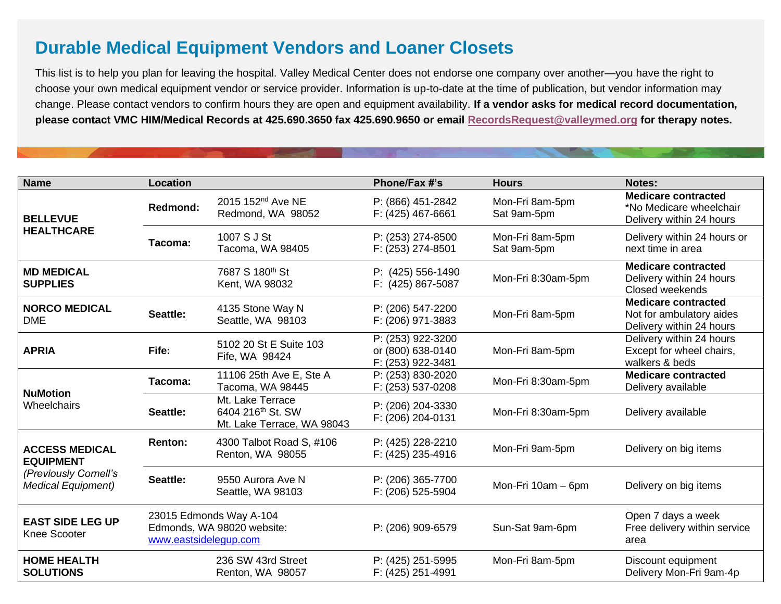## **Durable Medical Equipment Vendors and Loaner Closets**

This list is to help you plan for leaving the hospital. Valley Medical Center does not endorse one company over another—you have the right to choose your own medical equipment vendor or service provider. Information is up-to-date at the time of publication, but vendor information may change. Please contact vendors to confirm hours they are open and equipment availability. **If a vendor asks for medical record documentation, please contact VMC HIM/Medical Records at 425.690.3650 fax 425.690.9650 or email [RecordsRequest@valleymed.org](mailto:RecordsRequest@valleymed.org?subject=Email%20to%20RecordsRequest@valleymed.org) for therapy notes.**

| <b>Name</b>                                                                                     | Location                                                                       |                                                                                 | Phone/Fax #'s                                               | <b>Hours</b>                   | Notes:                                                                             |
|-------------------------------------------------------------------------------------------------|--------------------------------------------------------------------------------|---------------------------------------------------------------------------------|-------------------------------------------------------------|--------------------------------|------------------------------------------------------------------------------------|
| <b>BELLEVUE</b><br><b>HEALTHCARE</b>                                                            | Redmond:                                                                       | 2015 152 <sup>nd</sup> Ave NE<br>Redmond, WA 98052                              | P: (866) 451-2842<br>F: (425) 467-6661                      | Mon-Fri 8am-5pm<br>Sat 9am-5pm | <b>Medicare contracted</b><br>*No Medicare wheelchair<br>Delivery within 24 hours  |
|                                                                                                 | Tacoma:                                                                        | 1007 S J St<br>Tacoma, WA 98405                                                 | P: (253) 274-8500<br>F: (253) 274-8501                      | Mon-Fri 8am-5pm<br>Sat 9am-5pm | Delivery within 24 hours or<br>next time in area                                   |
| <b>MD MEDICAL</b><br><b>SUPPLIES</b>                                                            |                                                                                | 7687 S 180th St<br>Kent, WA 98032                                               | P: (425) 556-1490<br>F: (425) 867-5087                      | Mon-Fri 8:30am-5pm             | <b>Medicare contracted</b><br>Delivery within 24 hours<br>Closed weekends          |
| <b>NORCO MEDICAL</b><br><b>DME</b>                                                              | Seattle:                                                                       | 4135 Stone Way N<br>Seattle, WA 98103                                           | P: (206) 547-2200<br>F: (206) 971-3883                      | Mon-Fri 8am-5pm                | <b>Medicare contracted</b><br>Not for ambulatory aides<br>Delivery within 24 hours |
| <b>APRIA</b>                                                                                    | Fife:                                                                          | 5102 20 St E Suite 103<br>Fife, WA 98424                                        | P: (253) 922-3200<br>or (800) 638-0140<br>F: (253) 922-3481 | Mon-Fri 8am-5pm                | Delivery within 24 hours<br>Except for wheel chairs,<br>walkers & beds             |
| <b>NuMotion</b><br>Wheelchairs                                                                  | Tacoma:                                                                        | 11106 25th Ave E, Ste A<br>Tacoma, WA 98445                                     | P: (253) 830-2020<br>F: (253) 537-0208                      | Mon-Fri 8:30am-5pm             | <b>Medicare contracted</b><br>Delivery available                                   |
|                                                                                                 | Seattle:                                                                       | Mt. Lake Terrace<br>6404 216 <sup>th</sup> St. SW<br>Mt. Lake Terrace, WA 98043 | P: (206) 204-3330<br>F: (206) 204-0131                      | Mon-Fri 8:30am-5pm             | Delivery available                                                                 |
| <b>ACCESS MEDICAL</b><br><b>EQUIPMENT</b><br>(Previously Cornell's<br><b>Medical Equipment)</b> | <b>Renton:</b>                                                                 | 4300 Talbot Road S, #106<br>Renton, WA 98055                                    | P: (425) 228-2210<br>F: (425) 235-4916                      | Mon-Fri 9am-5pm                | Delivery on big items                                                              |
|                                                                                                 | Seattle:                                                                       | 9550 Aurora Ave N<br>Seattle, WA 98103                                          | P: (206) 365-7700<br>F: (206) 525-5904                      | Mon-Fri 10am - 6pm             | Delivery on big items                                                              |
| <b>EAST SIDE LEG UP</b><br>Knee Scooter                                                         | 23015 Edmonds Way A-104<br>Edmonds, WA 98020 website:<br>www.eastsidelegup.com |                                                                                 | P: (206) 909-6579                                           | Sun-Sat 9am-6pm                | Open 7 days a week<br>Free delivery within service<br>area                         |
| <b>HOME HEALTH</b><br><b>SOLUTIONS</b>                                                          |                                                                                | 236 SW 43rd Street<br>Renton, WA 98057                                          | P: (425) 251-5995<br>F: (425) 251-4991                      | Mon-Fri 8am-5pm                | Discount equipment<br>Delivery Mon-Fri 9am-4p                                      |